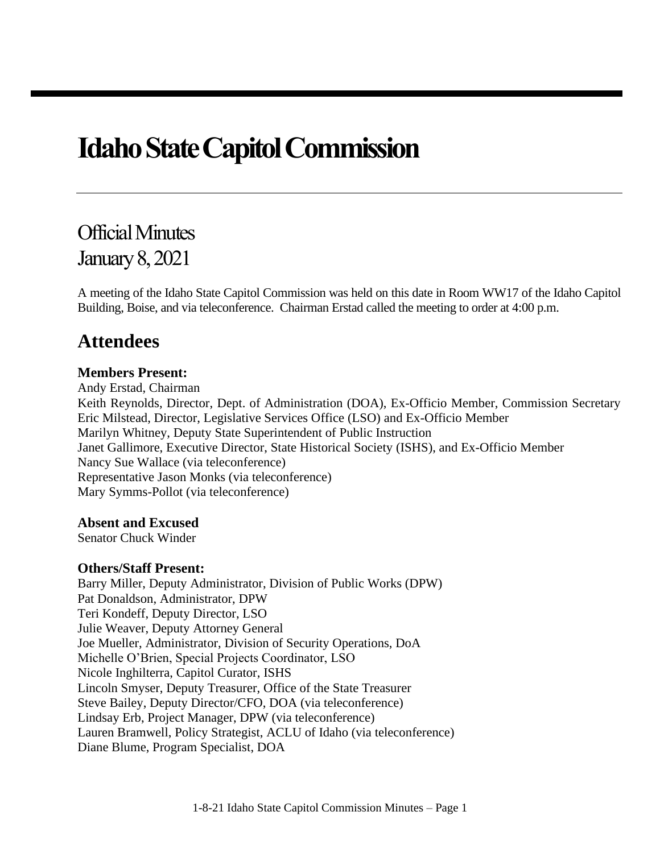# **Idaho State Capitol Commission**

## Official Minutes January8, 2021

A meeting of the Idaho State Capitol Commission was held on this date in Room WW17 of the Idaho Capitol Building, Boise, and via teleconference. Chairman Erstad called the meeting to order at 4:00 p.m.

### **Attendees**

#### **Members Present:**

Andy Erstad, Chairman Keith Reynolds, Director, Dept. of Administration (DOA), Ex-Officio Member, Commission Secretary Eric Milstead, Director, Legislative Services Office (LSO) and Ex-Officio Member Marilyn Whitney, Deputy State Superintendent of Public Instruction Janet Gallimore, Executive Director, State Historical Society (ISHS), and Ex-Officio Member Nancy Sue Wallace (via teleconference) Representative Jason Monks (via teleconference) Mary Symms-Pollot (via teleconference)

#### **Absent and Excused**

Senator Chuck Winder

#### **Others/Staff Present:**

Barry Miller, Deputy Administrator, Division of Public Works (DPW) Pat Donaldson, Administrator, DPW Teri Kondeff, Deputy Director, LSO Julie Weaver, Deputy Attorney General Joe Mueller, Administrator, Division of Security Operations, DoA Michelle O'Brien, Special Projects Coordinator, LSO Nicole Inghilterra, Capitol Curator, ISHS Lincoln Smyser, Deputy Treasurer, Office of the State Treasurer Steve Bailey, Deputy Director/CFO, DOA (via teleconference) Lindsay Erb, Project Manager, DPW (via teleconference) Lauren Bramwell, Policy Strategist, ACLU of Idaho (via teleconference) Diane Blume, Program Specialist, DOA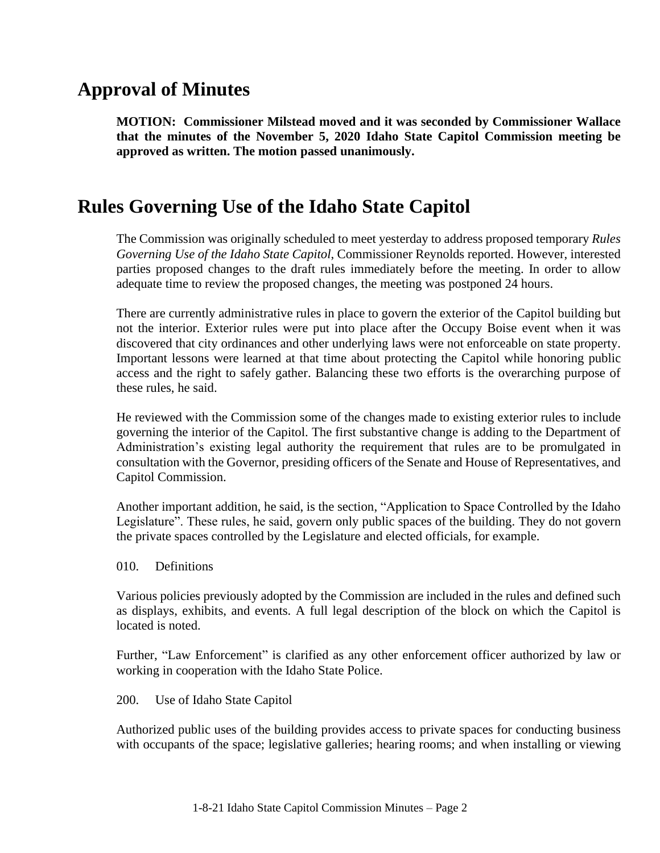### **Approval of Minutes**

**MOTION: Commissioner Milstead moved and it was seconded by Commissioner Wallace that the minutes of the November 5, 2020 Idaho State Capitol Commission meeting be approved as written. The motion passed unanimously.**

### **Rules Governing Use of the Idaho State Capitol**

The Commission was originally scheduled to meet yesterday to address proposed temporary *Rules Governing Use of the Idaho State Capitol*, Commissioner Reynolds reported. However, interested parties proposed changes to the draft rules immediately before the meeting. In order to allow adequate time to review the proposed changes, the meeting was postponed 24 hours.

There are currently administrative rules in place to govern the exterior of the Capitol building but not the interior. Exterior rules were put into place after the Occupy Boise event when it was discovered that city ordinances and other underlying laws were not enforceable on state property. Important lessons were learned at that time about protecting the Capitol while honoring public access and the right to safely gather. Balancing these two efforts is the overarching purpose of these rules, he said.

He reviewed with the Commission some of the changes made to existing exterior rules to include governing the interior of the Capitol. The first substantive change is adding to the Department of Administration's existing legal authority the requirement that rules are to be promulgated in consultation with the Governor, presiding officers of the Senate and House of Representatives, and Capitol Commission.

Another important addition, he said, is the section, "Application to Space Controlled by the Idaho Legislature". These rules, he said, govern only public spaces of the building. They do not govern the private spaces controlled by the Legislature and elected officials, for example.

010. Definitions

Various policies previously adopted by the Commission are included in the rules and defined such as displays, exhibits, and events. A full legal description of the block on which the Capitol is located is noted.

Further, "Law Enforcement" is clarified as any other enforcement officer authorized by law or working in cooperation with the Idaho State Police.

200. Use of Idaho State Capitol

Authorized public uses of the building provides access to private spaces for conducting business with occupants of the space; legislative galleries; hearing rooms; and when installing or viewing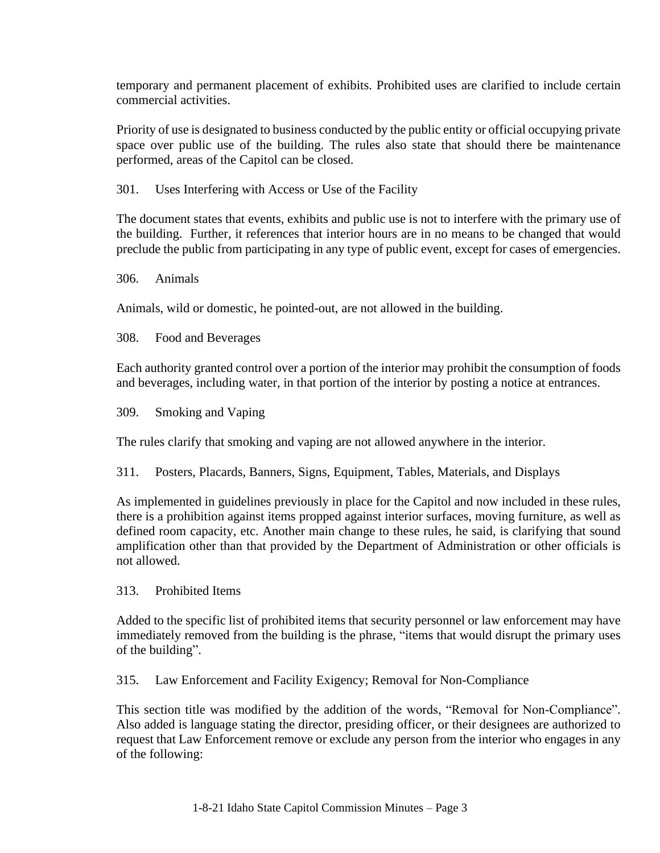temporary and permanent placement of exhibits. Prohibited uses are clarified to include certain commercial activities.

Priority of use is designated to business conducted by the public entity or official occupying private space over public use of the building. The rules also state that should there be maintenance performed, areas of the Capitol can be closed.

301. Uses Interfering with Access or Use of the Facility

The document states that events, exhibits and public use is not to interfere with the primary use of the building. Further, it references that interior hours are in no means to be changed that would preclude the public from participating in any type of public event, except for cases of emergencies.

306. Animals

Animals, wild or domestic, he pointed-out, are not allowed in the building.

308. Food and Beverages

Each authority granted control over a portion of the interior may prohibit the consumption of foods and beverages, including water, in that portion of the interior by posting a notice at entrances.

309. Smoking and Vaping

The rules clarify that smoking and vaping are not allowed anywhere in the interior.

311. Posters, Placards, Banners, Signs, Equipment, Tables, Materials, and Displays

As implemented in guidelines previously in place for the Capitol and now included in these rules, there is a prohibition against items propped against interior surfaces, moving furniture, as well as defined room capacity, etc. Another main change to these rules, he said, is clarifying that sound amplification other than that provided by the Department of Administration or other officials is not allowed.

313. Prohibited Items

Added to the specific list of prohibited items that security personnel or law enforcement may have immediately removed from the building is the phrase, "items that would disrupt the primary uses of the building".

315. Law Enforcement and Facility Exigency; Removal for Non-Compliance

This section title was modified by the addition of the words, "Removal for Non-Compliance". Also added is language stating the director, presiding officer, or their designees are authorized to request that Law Enforcement remove or exclude any person from the interior who engages in any of the following: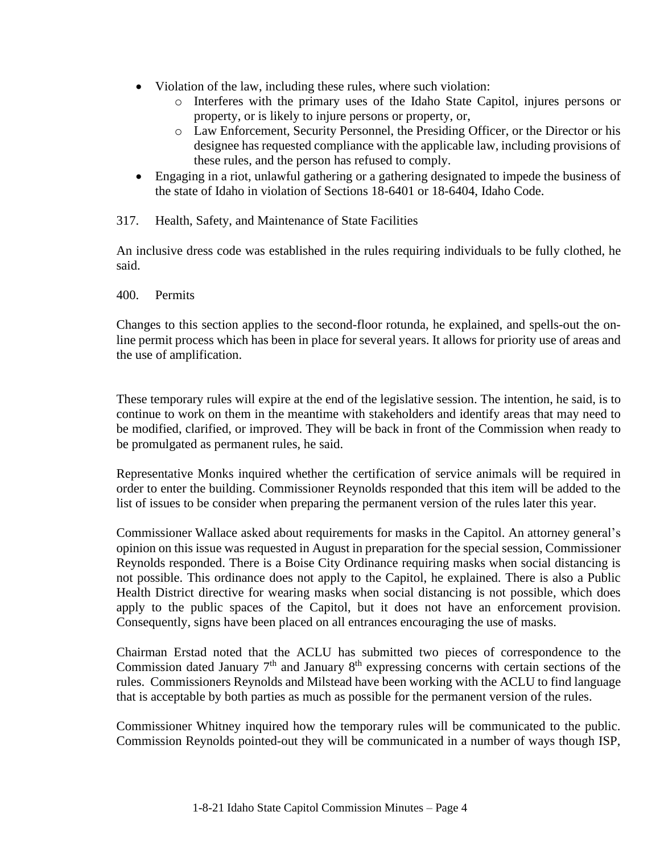- Violation of the law, including these rules, where such violation:
	- o Interferes with the primary uses of the Idaho State Capitol, injures persons or property, or is likely to injure persons or property, or,
	- o Law Enforcement, Security Personnel, the Presiding Officer, or the Director or his designee has requested compliance with the applicable law, including provisions of these rules, and the person has refused to comply.
- Engaging in a riot, unlawful gathering or a gathering designated to impede the business of the state of Idaho in violation of Sections 18-6401 or 18-6404, Idaho Code.
- 317. Health, Safety, and Maintenance of State Facilities

An inclusive dress code was established in the rules requiring individuals to be fully clothed, he said.

400. Permits

Changes to this section applies to the second-floor rotunda, he explained, and spells-out the online permit process which has been in place for several years. It allows for priority use of areas and the use of amplification.

These temporary rules will expire at the end of the legislative session. The intention, he said, is to continue to work on them in the meantime with stakeholders and identify areas that may need to be modified, clarified, or improved. They will be back in front of the Commission when ready to be promulgated as permanent rules, he said.

Representative Monks inquired whether the certification of service animals will be required in order to enter the building. Commissioner Reynolds responded that this item will be added to the list of issues to be consider when preparing the permanent version of the rules later this year.

Commissioner Wallace asked about requirements for masks in the Capitol. An attorney general's opinion on this issue was requested in August in preparation for the special session, Commissioner Reynolds responded. There is a Boise City Ordinance requiring masks when social distancing is not possible. This ordinance does not apply to the Capitol, he explained. There is also a Public Health District directive for wearing masks when social distancing is not possible, which does apply to the public spaces of the Capitol, but it does not have an enforcement provision. Consequently, signs have been placed on all entrances encouraging the use of masks.

Chairman Erstad noted that the ACLU has submitted two pieces of correspondence to the Commission dated January  $7<sup>th</sup>$  and January  $8<sup>th</sup>$  expressing concerns with certain sections of the rules. Commissioners Reynolds and Milstead have been working with the ACLU to find language that is acceptable by both parties as much as possible for the permanent version of the rules.

Commissioner Whitney inquired how the temporary rules will be communicated to the public. Commission Reynolds pointed-out they will be communicated in a number of ways though ISP,